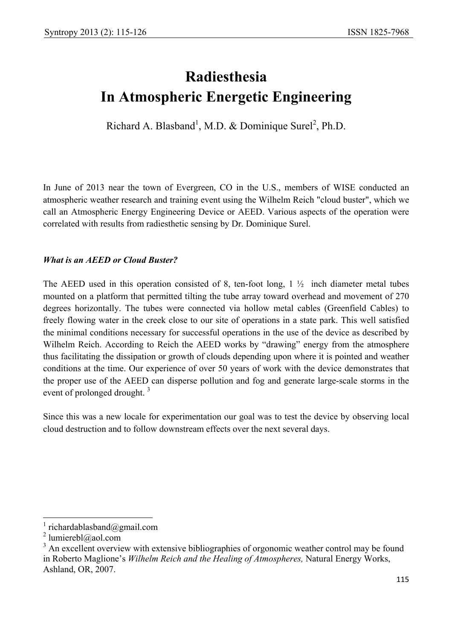# **Radiesthesia In Atmospheric Energetic Engineering**

Richard A. Blasband<sup>1</sup>, M.D. & Dominique Surel<sup>2</sup>, Ph.D.

In June of 2013 near the town of Evergreen, CO in the U.S., members of WISE conducted an atmospheric weather research and training event using the Wilhelm Reich "cloud buster", which we call an Atmospheric Energy Engineering Device or AEED. Various aspects of the operation were correlated with results from radiesthetic sensing by Dr. Dominique Surel.

# *What is an AEED or Cloud Buster?*

The AEED used in this operation consisted of 8, ten-foot long,  $1\frac{1}{2}$  inch diameter metal tubes mounted on a platform that permitted tilting the tube array toward overhead and movement of 270 degrees horizontally. The tubes were connected via hollow metal cables (Greenfield Cables) to freely flowing water in the creek close to our site of operations in a state park. This well satisfied the minimal conditions necessary for successful operations in the use of the device as described by Wilhelm Reich. According to Reich the AEED works by "drawing" energy from the atmosphere thus facilitating the dissipation or growth of clouds depending upon where it is pointed and weather conditions at the time. Our experience of over 50 years of work with the device demonstrates that the proper use of the AEED can disperse pollution and fog and generate large-scale storms in the event of prolonged drought.<sup>3</sup>

Since this was a new locale for experimentation our goal was to test the device by observing local cloud destruction and to follow downstream effects over the next several days.

 $\overline{\phantom{a}}$ 

<sup>1</sup> richardablasband@gmail.com

<sup>&</sup>lt;sup>2</sup> lumierebl@aol.com

 $3$  An excellent overview with extensive bibliographies of orgonomic weather control may be found in Roberto Maglione's *Wilhelm Reich and the Healing of Atmospheres,* Natural Energy Works, Ashland, OR, 2007.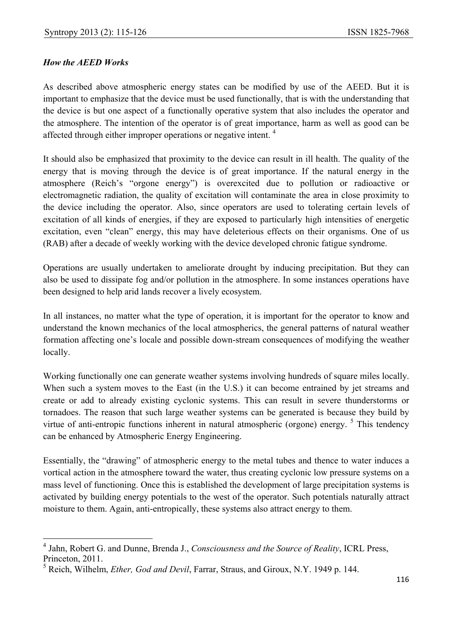# *How the AEED Works*

 $\overline{\phantom{a}}$ 

As described above atmospheric energy states can be modified by use of the AEED. But it is important to emphasize that the device must be used functionally, that is with the understanding that the device is but one aspect of a functionally operative system that also includes the operator and the atmosphere. The intention of the operator is of great importance, harm as well as good can be affected through either improper operations or negative intent. 4

It should also be emphasized that proximity to the device can result in ill health. The quality of the energy that is moving through the device is of great importance. If the natural energy in the atmosphere (Reich's "orgone energy") is overexcited due to pollution or radioactive or electromagnetic radiation, the quality of excitation will contaminate the area in close proximity to the device including the operator. Also, since operators are used to tolerating certain levels of excitation of all kinds of energies, if they are exposed to particularly high intensities of energetic excitation, even "clean" energy, this may have deleterious effects on their organisms. One of us (RAB) after a decade of weekly working with the device developed chronic fatigue syndrome.

Operations are usually undertaken to ameliorate drought by inducing precipitation. But they can also be used to dissipate fog and/or pollution in the atmosphere. In some instances operations have been designed to help arid lands recover a lively ecosystem.

In all instances, no matter what the type of operation, it is important for the operator to know and understand the known mechanics of the local atmospherics, the general patterns of natural weather formation affecting one's locale and possible down-stream consequences of modifying the weather locally.

Working functionally one can generate weather systems involving hundreds of square miles locally. When such a system moves to the East (in the U.S.) it can become entrained by jet streams and create or add to already existing cyclonic systems. This can result in severe thunderstorms or tornadoes. The reason that such large weather systems can be generated is because they build by virtue of anti-entropic functions inherent in natural atmospheric (orgone) energy.  $5$  This tendency can be enhanced by Atmospheric Energy Engineering.

Essentially, the "drawing" of atmospheric energy to the metal tubes and thence to water induces a vortical action in the atmosphere toward the water, thus creating cyclonic low pressure systems on a mass level of functioning. Once this is established the development of large precipitation systems is activated by building energy potentials to the west of the operator. Such potentials naturally attract moisture to them. Again, anti-entropically, these systems also attract energy to them.

<sup>4</sup> Jahn, Robert G. and Dunne, Brenda J., *Consciousness and the Source of Reality*, ICRL Press, Princeton, 2011.

<sup>5</sup> Reich, Wilhelm, *Ether, God and Devil*, Farrar, Straus, and Giroux, N.Y. 1949 p. 144.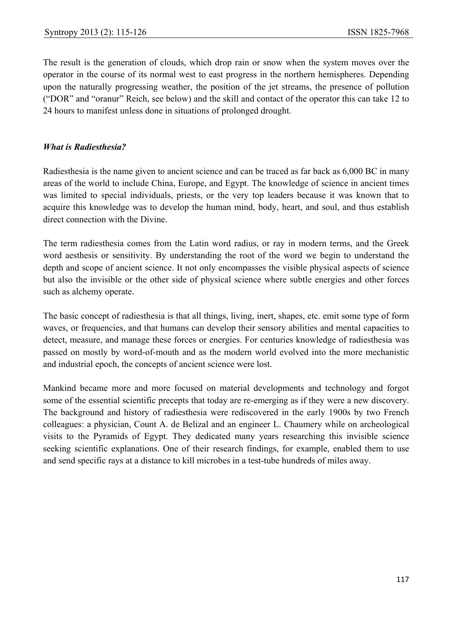The result is the generation of clouds, which drop rain or snow when the system moves over the operator in the course of its normal west to east progress in the northern hemispheres. Depending upon the naturally progressing weather, the position of the jet streams, the presence of pollution ("DOR" and "oranur" Reich, see below) and the skill and contact of the operator this can take 12 to 24 hours to manifest unless done in situations of prolonged drought.

## *What is Radiesthesia?*

Radiesthesia is the name given to ancient science and can be traced as far back as 6,000 BC in many areas of the world to include China, Europe, and Egypt. The knowledge of science in ancient times was limited to special individuals, priests, or the very top leaders because it was known that to acquire this knowledge was to develop the human mind, body, heart, and soul, and thus establish direct connection with the Divine.

The term radiesthesia comes from the Latin word radius, or ray in modern terms, and the Greek word aesthesis or sensitivity. By understanding the root of the word we begin to understand the depth and scope of ancient science. It not only encompasses the visible physical aspects of science but also the invisible or the other side of physical science where subtle energies and other forces such as alchemy operate.

The basic concept of radiesthesia is that all things, living, inert, shapes, etc. emit some type of form waves, or frequencies, and that humans can develop their sensory abilities and mental capacities to detect, measure, and manage these forces or energies. For centuries knowledge of radiesthesia was passed on mostly by word-of-mouth and as the modern world evolved into the more mechanistic and industrial epoch, the concepts of ancient science were lost.

Mankind became more and more focused on material developments and technology and forgot some of the essential scientific precepts that today are re-emerging as if they were a new discovery. The background and history of radiesthesia were rediscovered in the early 1900s by two French colleagues: a physician, Count A. de Belizal and an engineer L. Chaumery while on archeological visits to the Pyramids of Egypt. They dedicated many years researching this invisible science seeking scientific explanations. One of their research findings, for example, enabled them to use and send specific rays at a distance to kill microbes in a test-tube hundreds of miles away.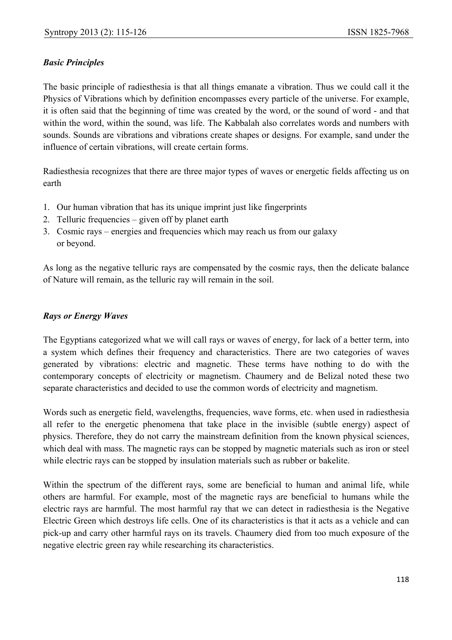# *Basic Principles*

The basic principle of radiesthesia is that all things emanate a vibration. Thus we could call it the Physics of Vibrations which by definition encompasses every particle of the universe. For example, it is often said that the beginning of time was created by the word, or the sound of word - and that within the word, within the sound, was life. The Kabbalah also correlates words and numbers with sounds. Sounds are vibrations and vibrations create shapes or designs. For example, sand under the influence of certain vibrations, will create certain forms.

Radiesthesia recognizes that there are three major types of waves or energetic fields affecting us on earth

- 1. Our human vibration that has its unique imprint just like fingerprints
- 2. Telluric frequencies given off by planet earth
- 3. Cosmic rays energies and frequencies which may reach us from our galaxy or beyond.

As long as the negative telluric rays are compensated by the cosmic rays, then the delicate balance of Nature will remain, as the telluric ray will remain in the soil.

## *Rays or Energy Waves*

The Egyptians categorized what we will call rays or waves of energy, for lack of a better term, into a system which defines their frequency and characteristics. There are two categories of waves generated by vibrations: electric and magnetic. These terms have nothing to do with the contemporary concepts of electricity or magnetism. Chaumery and de Belizal noted these two separate characteristics and decided to use the common words of electricity and magnetism.

Words such as energetic field, wavelengths, frequencies, wave forms, etc. when used in radiesthesia all refer to the energetic phenomena that take place in the invisible (subtle energy) aspect of physics. Therefore, they do not carry the mainstream definition from the known physical sciences, which deal with mass. The magnetic rays can be stopped by magnetic materials such as iron or steel while electric rays can be stopped by insulation materials such as rubber or bakelite.

Within the spectrum of the different rays, some are beneficial to human and animal life, while others are harmful. For example, most of the magnetic rays are beneficial to humans while the electric rays are harmful. The most harmful ray that we can detect in radiesthesia is the Negative Electric Green which destroys life cells. One of its characteristics is that it acts as a vehicle and can pick-up and carry other harmful rays on its travels. Chaumery died from too much exposure of the negative electric green ray while researching its characteristics.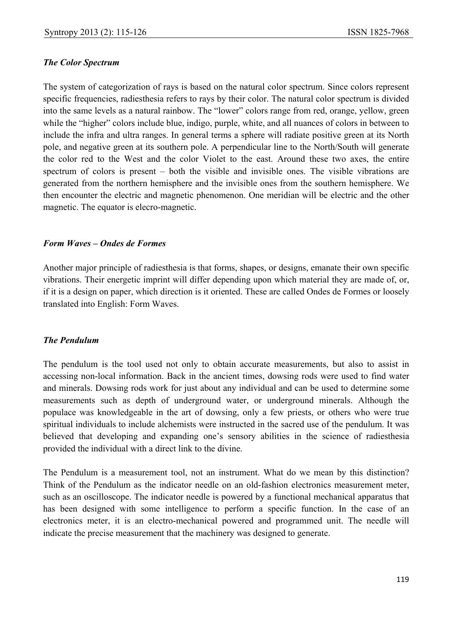#### *The Color Spectrum*

The system of categorization of rays is based on the natural color spectrum. Since colors represent specific frequencies, radiesthesia refers to rays by their color. The natural color spectrum is divided into the same levels as a natural rainbow. The "lower" colors range from red, orange, yellow, green while the "higher" colors include blue, indigo, purple, white, and all nuances of colors in between to include the infra and ultra ranges. In general terms a sphere will radiate positive green at its North pole, and negative green at its southern pole. A perpendicular line to the North/South will generate the color red to the West and the color Violet to the east. Around these two axes, the entire spectrum of colors is present – both the visible and invisible ones. The visible vibrations are generated from the northern hemisphere and the invisible ones from the southern hemisphere. We then encounter the electric and magnetic phenomenon. One meridian will be electric and the other magnetic. The equator is elecro-magnetic.

#### *Form Waves – Ondes de Formes*

Another major principle of radiesthesia is that forms, shapes, or designs, emanate their own specific vibrations. Their energetic imprint will differ depending upon which material they are made of, or, if it is a design on paper, which direction is it oriented. These are called Ondes de Formes or loosely translated into English: Form Waves.

## *The Pendulum*

The pendulum is the tool used not only to obtain accurate measurements, but also to assist in accessing non-local information. Back in the ancient times, dowsing rods were used to find water and minerals. Dowsing rods work for just about any individual and can be used to determine some measurements such as depth of underground water, or underground minerals. Although the populace was knowledgeable in the art of dowsing, only a few priests, or others who were true spiritual individuals to include alchemists were instructed in the sacred use of the pendulum. It was believed that developing and expanding one's sensory abilities in the science of radiesthesia provided the individual with a direct link to the divine.

The Pendulum is a measurement tool, not an instrument. What do we mean by this distinction? Think of the Pendulum as the indicator needle on an old-fashion electronics measurement meter, such as an oscilloscope. The indicator needle is powered by a functional mechanical apparatus that has been designed with some intelligence to perform a specific function. In the case of an electronics meter, it is an electro-mechanical powered and programmed unit. The needle will indicate the precise measurement that the machinery was designed to generate.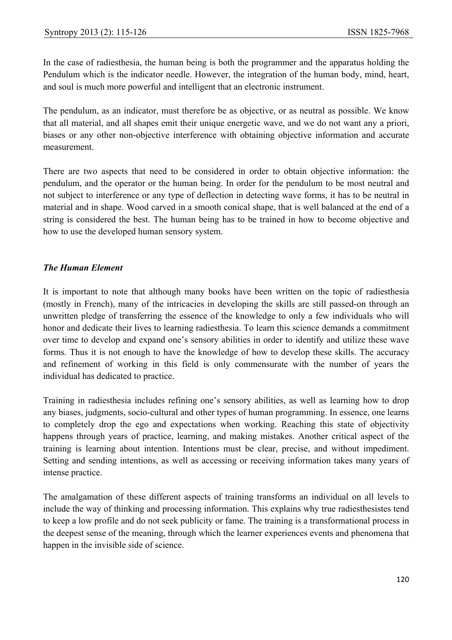In the case of radiesthesia, the human being is both the programmer and the apparatus holding the Pendulum which is the indicator needle. However, the integration of the human body, mind, heart, and soul is much more powerful and intelligent that an electronic instrument.

The pendulum, as an indicator, must therefore be as objective, or as neutral as possible. We know that all material, and all shapes emit their unique energetic wave, and we do not want any a priori, biases or any other non-objective interference with obtaining objective information and accurate measurement.

There are two aspects that need to be considered in order to obtain objective information: the pendulum, and the operator or the human being. In order for the pendulum to be most neutral and not subject to interference or any type of deflection in detecting wave forms, it has to be neutral in material and in shape. Wood carved in a smooth conical shape, that is well balanced at the end of a string is considered the best. The human being has to be trained in how to become objective and how to use the developed human sensory system.

# *The Human Element*

It is important to note that although many books have been written on the topic of radiesthesia (mostly in French), many of the intricacies in developing the skills are still passed-on through an unwritten pledge of transferring the essence of the knowledge to only a few individuals who will honor and dedicate their lives to learning radiesthesia. To learn this science demands a commitment over time to develop and expand one's sensory abilities in order to identify and utilize these wave forms. Thus it is not enough to have the knowledge of how to develop these skills. The accuracy and refinement of working in this field is only commensurate with the number of years the individual has dedicated to practice.

Training in radiesthesia includes refining one's sensory abilities, as well as learning how to drop any biases, judgments, socio-cultural and other types of human programming. In essence, one learns to completely drop the ego and expectations when working. Reaching this state of objectivity happens through years of practice, learning, and making mistakes. Another critical aspect of the training is learning about intention. Intentions must be clear, precise, and without impediment. Setting and sending intentions, as well as accessing or receiving information takes many years of intense practice.

The amalgamation of these different aspects of training transforms an individual on all levels to include the way of thinking and processing information. This explains why true radiesthesistes tend to keep a low profile and do not seek publicity or fame. The training is a transformational process in the deepest sense of the meaning, through which the learner experiences events and phenomena that happen in the invisible side of science.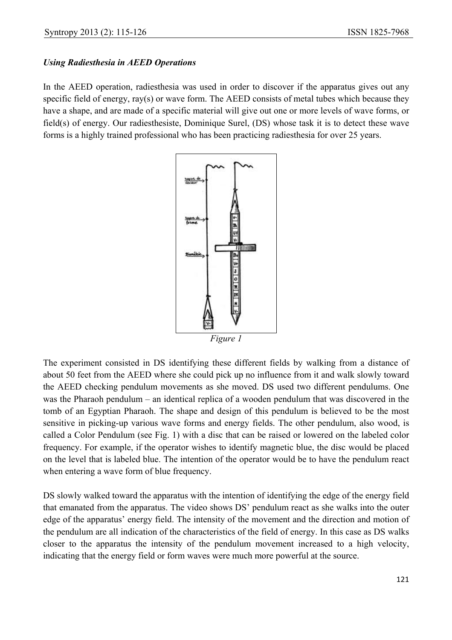# *Using Radiesthesia in AEED Operations*

In the AEED operation, radiesthesia was used in order to discover if the apparatus gives out any specific field of energy, ray(s) or wave form. The AEED consists of metal tubes which because they have a shape, and are made of a specific material will give out one or more levels of wave forms, or field(s) of energy. Our radiesthesiste, Dominique Surel, (DS) whose task it is to detect these wave forms is a highly trained professional who has been practicing radiesthesia for over 25 years.



The experiment consisted in DS identifying these different fields by walking from a distance of about 50 feet from the AEED where she could pick up no influence from it and walk slowly toward the AEED checking pendulum movements as she moved. DS used two different pendulums. One was the Pharaoh pendulum – an identical replica of a wooden pendulum that was discovered in the tomb of an Egyptian Pharaoh. The shape and design of this pendulum is believed to be the most sensitive in picking-up various wave forms and energy fields. The other pendulum, also wood, is called a Color Pendulum (see Fig. 1) with a disc that can be raised or lowered on the labeled color frequency. For example, if the operator wishes to identify magnetic blue, the disc would be placed on the level that is labeled blue. The intention of the operator would be to have the pendulum react when entering a wave form of blue frequency.

DS slowly walked toward the apparatus with the intention of identifying the edge of the energy field that emanated from the apparatus. The video shows DS' pendulum react as she walks into the outer edge of the apparatus' energy field. The intensity of the movement and the direction and motion of the pendulum are all indication of the characteristics of the field of energy. In this case as DS walks closer to the apparatus the intensity of the pendulum movement increased to a high velocity, indicating that the energy field or form waves were much more powerful at the source.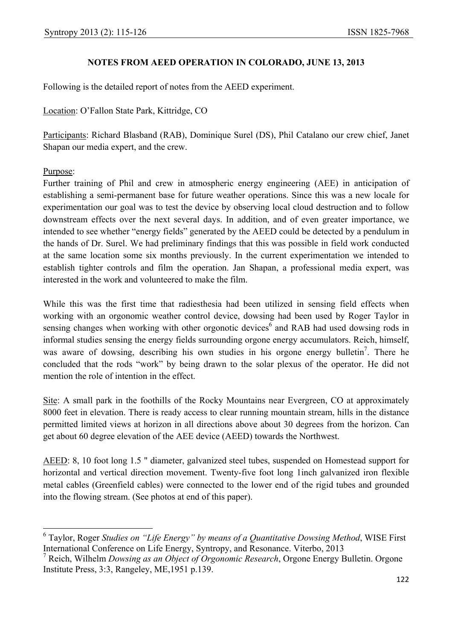## **NOTES FROM AEED OPERATION IN COLORADO, JUNE 13, 2013**

Following is the detailed report of notes from the AEED experiment.

Location: O'Fallon State Park, Kittridge, CO

Participants: Richard Blasband (RAB), Dominique Surel (DS), Phil Catalano our crew chief, Janet Shapan our media expert, and the crew.

## Purpose:

Further training of Phil and crew in atmospheric energy engineering (AEE) in anticipation of establishing a semi-permanent base for future weather operations. Since this was a new locale for experimentation our goal was to test the device by observing local cloud destruction and to follow downstream effects over the next several days. In addition, and of even greater importance, we intended to see whether "energy fields" generated by the AEED could be detected by a pendulum in the hands of Dr. Surel. We had preliminary findings that this was possible in field work conducted at the same location some six months previously. In the current experimentation we intended to establish tighter controls and film the operation. Jan Shapan, a professional media expert, was interested in the work and volunteered to make the film.

While this was the first time that radiesthesia had been utilized in sensing field effects when working with an orgonomic weather control device, dowsing had been used by Roger Taylor in sensing changes when working with other orgonotic devices<sup>6</sup> and RAB had used dowsing rods in informal studies sensing the energy fields surrounding orgone energy accumulators. Reich, himself, was aware of dowsing, describing his own studies in his orgone energy bulletin<sup>7</sup>. There he concluded that the rods "work" by being drawn to the solar plexus of the operator. He did not mention the role of intention in the effect.

Site: A small park in the foothills of the Rocky Mountains near Evergreen, CO at approximately 8000 feet in elevation. There is ready access to clear running mountain stream, hills in the distance permitted limited views at horizon in all directions above about 30 degrees from the horizon. Can get about 60 degree elevation of the AEE device (AEED) towards the Northwest.

AEED: 8, 10 foot long 1.5 " diameter, galvanized steel tubes, suspended on Homestead support for horizontal and vertical direction movement. Twenty-five foot long 1inch galvanized iron flexible metal cables (Greenfield cables) were connected to the lower end of the rigid tubes and grounded into the flowing stream. (See photos at end of this paper).

 6 Taylor, Roger *Studies on "Life Energy" by means of a Quantitative Dowsing Method*, WISE First International Conference on Life Energy, Syntropy, and Resonance. Viterbo, 2013

<sup>7</sup> Reich, Wilhelm *Dowsing as an Object of Orgonomic Research*, Orgone Energy Bulletin. Orgone Institute Press, 3:3, Rangeley, ME,1951 p.139.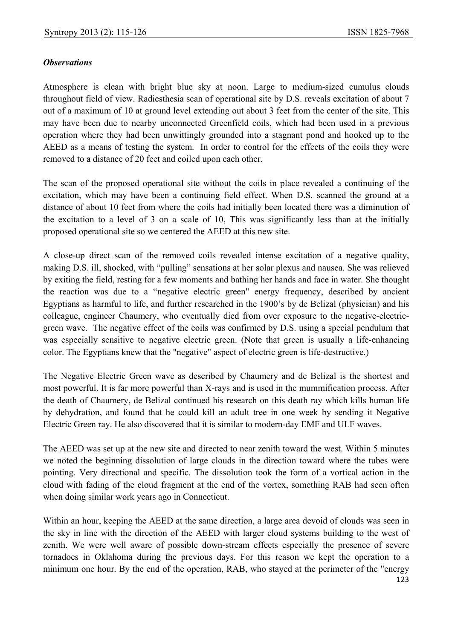## *Observations*

Atmosphere is clean with bright blue sky at noon. Large to medium-sized cumulus clouds throughout field of view. Radiesthesia scan of operational site by D.S. reveals excitation of about 7 out of a maximum of 10 at ground level extending out about 3 feet from the center of the site. This may have been due to nearby unconnected Greenfield coils, which had been used in a previous operation where they had been unwittingly grounded into a stagnant pond and hooked up to the AEED as a means of testing the system. In order to control for the effects of the coils they were removed to a distance of 20 feet and coiled upon each other.

The scan of the proposed operational site without the coils in place revealed a continuing of the excitation, which may have been a continuing field effect. When D.S. scanned the ground at a distance of about 10 feet from where the coils had initially been located there was a diminution of the excitation to a level of 3 on a scale of 10, This was significantly less than at the initially proposed operational site so we centered the AEED at this new site.

A close-up direct scan of the removed coils revealed intense excitation of a negative quality, making D.S. ill, shocked, with "pulling" sensations at her solar plexus and nausea. She was relieved by exiting the field, resting for a few moments and bathing her hands and face in water. She thought the reaction was due to a "negative electric green" energy frequency, described by ancient Egyptians as harmful to life, and further researched in the 1900's by de Belizal (physician) and his colleague, engineer Chaumery, who eventually died from over exposure to the negative-electricgreen wave. The negative effect of the coils was confirmed by D.S. using a special pendulum that was especially sensitive to negative electric green. (Note that green is usually a life-enhancing color. The Egyptians knew that the "negative" aspect of electric green is life-destructive.)

The Negative Electric Green wave as described by Chaumery and de Belizal is the shortest and most powerful. It is far more powerful than X-rays and is used in the mummification process. After the death of Chaumery, de Belizal continued his research on this death ray which kills human life by dehydration, and found that he could kill an adult tree in one week by sending it Negative Electric Green ray. He also discovered that it is similar to modern-day EMF and ULF waves.

The AEED was set up at the new site and directed to near zenith toward the west. Within 5 minutes we noted the beginning dissolution of large clouds in the direction toward where the tubes were pointing. Very directional and specific. The dissolution took the form of a vortical action in the cloud with fading of the cloud fragment at the end of the vortex, something RAB had seen often when doing similar work years ago in Connecticut.

Within an hour, keeping the AEED at the same direction, a large area devoid of clouds was seen in the sky in line with the direction of the AEED with larger cloud systems building to the west of zenith. We were well aware of possible down-stream effects especially the presence of severe tornadoes in Oklahoma during the previous days. For this reason we kept the operation to a minimum one hour. By the end of the operation, RAB, who stayed at the perimeter of the "energy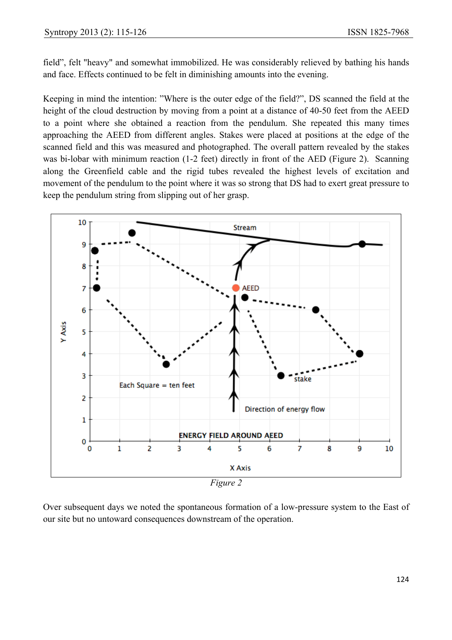field", felt "heavy" and somewhat immobilized. He was considerably relieved by bathing his hands and face. Effects continued to be felt in diminishing amounts into the evening.

Keeping in mind the intention: "Where is the outer edge of the field?", DS scanned the field at the height of the cloud destruction by moving from a point at a distance of 40-50 feet from the AEED to a point where she obtained a reaction from the pendulum. She repeated this many times approaching the AEED from different angles. Stakes were placed at positions at the edge of the scanned field and this was measured and photographed. The overall pattern revealed by the stakes was bi-lobar with minimum reaction (1-2 feet) directly in front of the AED (Figure 2). Scanning along the Greenfield cable and the rigid tubes revealed the highest levels of excitation and movement of the pendulum to the point where it was so strong that DS had to exert great pressure to keep the pendulum string from slipping out of her grasp.



*Figure 2*

Over subsequent days we noted the spontaneous formation of a low-pressure system to the East of our site but no untoward consequences downstream of the operation.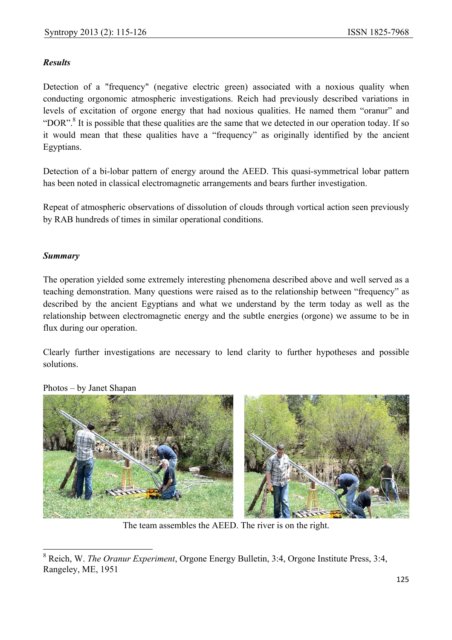# *Results*

Detection of a "frequency" (negative electric green) associated with a noxious quality when conducting orgonomic atmospheric investigations. Reich had previously described variations in levels of excitation of orgone energy that had noxious qualities. He named them "oranur" and "DOR".<sup>8</sup> It is possible that these qualities are the same that we detected in our operation today. If so it would mean that these qualities have a "frequency" as originally identified by the ancient Egyptians.

Detection of a bi-lobar pattern of energy around the AEED. This quasi-symmetrical lobar pattern has been noted in classical electromagnetic arrangements and bears further investigation.

Repeat of atmospheric observations of dissolution of clouds through vortical action seen previously by RAB hundreds of times in similar operational conditions.

# *Summary*

The operation yielded some extremely interesting phenomena described above and well served as a teaching demonstration. Many questions were raised as to the relationship between "frequency" as described by the ancient Egyptians and what we understand by the term today as well as the relationship between electromagnetic energy and the subtle energies (orgone) we assume to be in flux during our operation.

Clearly further investigations are necessary to lend clarity to further hypotheses and possible solutions.



Photos – by Janet Shapan

The team assembles the AEED. The river is on the right.

 $\overline{\phantom{a}}$ 8 Reich, W. *The Oranur Experiment*, Orgone Energy Bulletin, 3:4, Orgone Institute Press, 3:4, Rangeley, ME, 1951